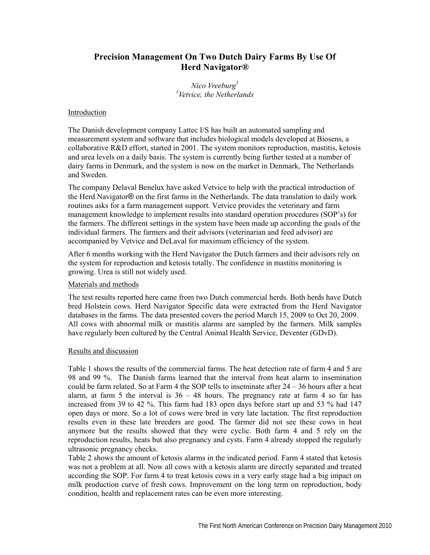## **Precision Management On Two Dutch Dairy Farms By Use Of Herd Navigator®**

*Nico Vreeburg1 1 Vetvice, the Netherlands* 

## Introduction

The Danish development company Lattec I/S has built an automated sampling and measurement system and software that includes biological models developed at Biosens, a collaborative R&D effort, started in 2001. The system monitors reproduction, mastitis, ketosis and urea levels on a daily basis. The system is currently being further tested at a number of dairy farms in Denmark, and the system is now on the market in Denmark, The Netherlands and Sweden.

The company Delaval Benelux have asked Vetvice to help with the practical introduction of the Herd Navigator® on the first farms in the Netherlands. The data translation to daily work routines asks for a farm management support. Vetvice provides the veterinary and farm management knowledge to implement results into standard operation procedures (SOP's) for the farmers. The different settings in the system have been made up according the goals of the individual farmers. The farmers and their advisors (veterinarian and feed advisor) are accompanied by Vetvice and DeLaval for maximum efficiency of the system.

After 6 months working with the Herd Navigator the Dutch farmers and their advisors rely on the system for reproduction and ketosis totally. The confidence in mastitis monitoring is growing. Urea is still not widely used.

## Materials and methods

The test results reported here came from two Dutch commercial herds. Both herds have Dutch bred Holstein cows. Herd Navigator Specific data were extracted from the Herd Navigator databases in the farms. The data presented covers the period March 15, 2009 to Oct 20, 2009. All cows with abnormal milk or mastitis alarms are sampled by the farmers. Milk samples have regularly been cultured by the Central Animal Health Service, Deventer (GDvD).

## Results and discussion

Table 1 shows the results of the commercial farms. The heat detection rate of farm 4 and 5 are 98 and 99 %. The Danish farms learned that the interval from heat alarm to insemination could be farm related. So at Farm 4 the SOP tells to inseminate after  $24 - 36$  hours after a heat alarm, at farm 5 the interval is  $36 - 48$  hours. The pregnancy rate at farm 4 so far has increased from 39 to 42 %. This farm had 183 open days before start up and 53 % had 147 open days or more. So a lot of cows were bred in very late lactation. The first reproduction results even in these late breeders are good. The farmer did not see these cows in heat anymore but the results showed that they were cyclic. Both farm 4 and 5 rely on the reproduction results, heats but also pregnancy and cysts. Farm 4 already stopped the regularly ultrasonic pregnancy checks.

Table 2 shows the amount of ketosis alarms in the indicated period. Farm 4 stated that ketosis was not a problem at all. Now all cows with a ketosis alarm are directly separated and treated according the SOP. For farm 4 to treat ketosis cows in a very early stage had a big impact on milk production curve of fresh cows. Improvement on the long term on reproduction, body condition, health and replacement rates can be even more interesting.